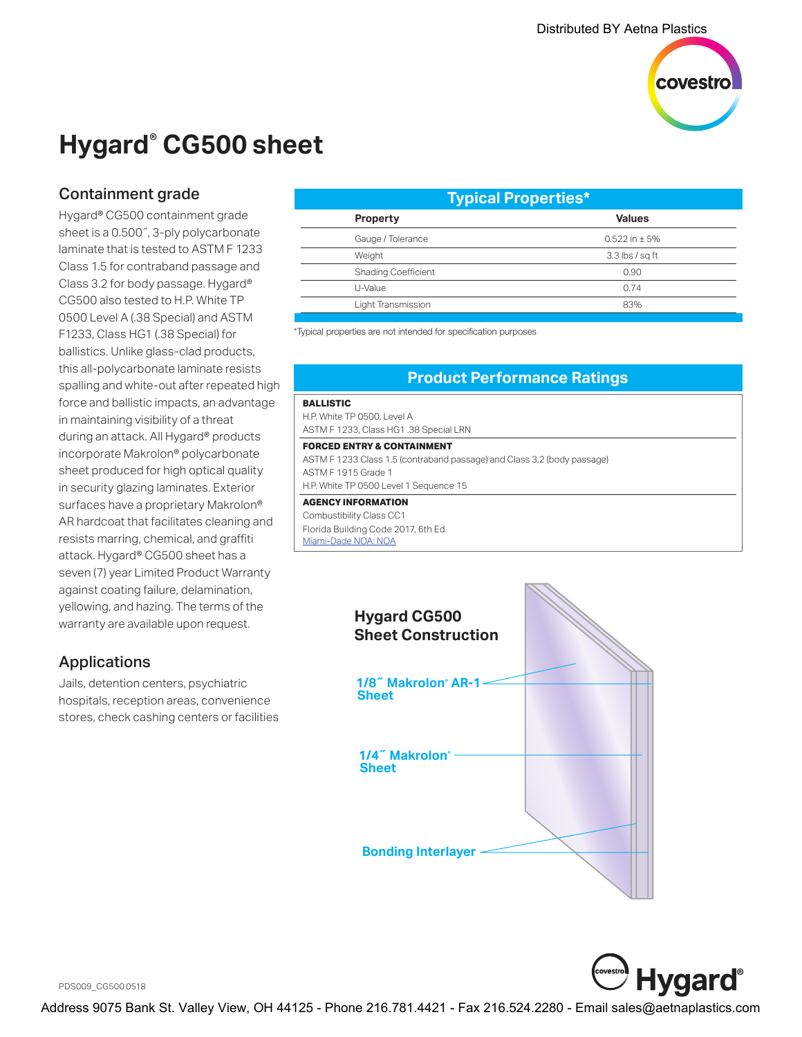

## **Hygard® CG500 sheet**

## Containment grade

Hygard® CG500 containment grade sheet is a 0.500˝, 3-ply polycarbonate laminate that is tested to ASTM F 1233 Class 1.5 for contraband passage and Class 3.2 for body passage. Hygard® CG500 also tested to H.P. White TP 0500 Level A (.38 Special) and ASTM F1233, Class HG1 (.38 Special) for ballistics. Unlike glass-clad products, this all-polycarbonate laminate resists spalling and white-out after repeated high force and ballistic impacts, an advantage in maintaining visibility of a threat during an attack. All Hygard® products incorporate Makrolon® polycarbonate sheet produced for high optical quality in security glazing laminates. Exterior surfaces have a proprietary Makrolon® AR hardcoat that facilitates cleaning and resists marring, chemical, and graffiti attack. Hygard® CG500 sheet has a seven (7) year Limited Product Warranty against coating failure, delamination, yellowing, and hazing. The terms of the warranty are available upon request.

### Applications

Jails, detention centers, psychiatric hospitals, reception areas, convenience stores, check cashing centers or facilities

| <b>Typical Properties*</b> |                     |
|----------------------------|---------------------|
| <b>Property</b>            | <b>Values</b>       |
| Gauge / Tolerance          | $0.522$ in $\pm$ 5% |
| Weight                     | $3.3$ lbs / sq ft   |
| <b>Shading Coefficient</b> | 0.90                |
| U-Value                    | 0.74                |
| Light Transmission         | 83%                 |
|                            |                     |

\*Typical properties are not intended for specification purposes

## **Product Performance Ratings**

#### **BALLISTIC**

H.P. White TP 0500, Level A ASTM F 1233, Class HG1 .38 Special LRN

#### **FORCED ENTRY & CONTAINMENT**

ASTM F 1233 Class 1.5 (contraband passage) and Class 3.2 (body passage) ASTM F 1915 Grade 1 H.P. White TP 0500 Level 1 Sequence 15

#### **AGENCY INFORMATION**

Combustibility Class CC1 Florida Building Code 2017, 6th Ed. [Miami-Dade NOA: NOA](http://www.miamidade.gov/building/pc-result_app.asp?fldNOA=&Classification=0%2CUnknown+%2F+Unselected%2C1&AdvancedSearch=Go&applicantlist=101475&categorylist=0&subcategorylist=0&materiallist=0&impactlist=0&fldMDPP=0.00&fldMDPN=0.00)





PDS009\_CG500 0518